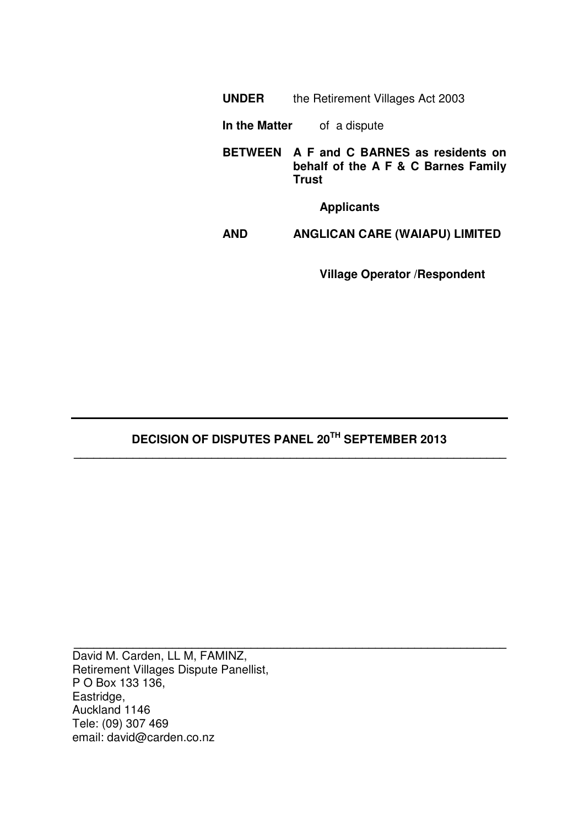| the Retirement Villages Act 2003 |
|----------------------------------|
|                                  |

- **In the Matter** of a dispute
- **BETWEEN A F and C BARNES as residents on behalf of the A F & C Barnes Family Trust**

**Applicants**

**AND ANGLICAN CARE (WAIAPU) LIMITED**

**Village Operator /Respondent** 

# **DECISION OF DISPUTES PANEL 20TH SEPTEMBER 2013 \_\_\_\_\_\_\_\_\_\_\_\_\_\_\_\_\_\_\_\_\_\_\_\_\_\_\_\_\_\_\_\_\_\_\_\_\_\_\_\_\_\_\_\_\_\_\_\_\_\_\_\_\_\_\_\_\_\_\_\_\_\_\_\_\_\_**

**\_\_\_\_\_\_\_\_\_\_\_\_\_\_\_\_\_\_\_\_\_\_\_\_\_\_\_\_\_\_\_\_\_\_\_\_\_\_\_\_\_\_\_\_\_\_\_\_\_\_\_\_\_\_\_\_\_\_\_\_\_\_\_\_\_\_** 

David M. Carden, LL M, FAMINZ, Retirement Villages Dispute Panellist, P O Box 133 136, Eastridge, Auckland 1146 Tele: (09) 307 469 email: david@carden.co.nz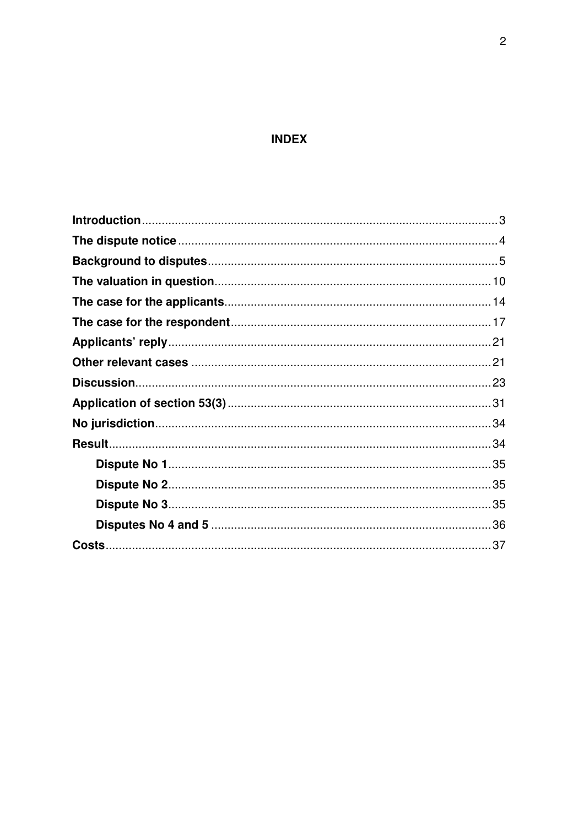# **INDEX**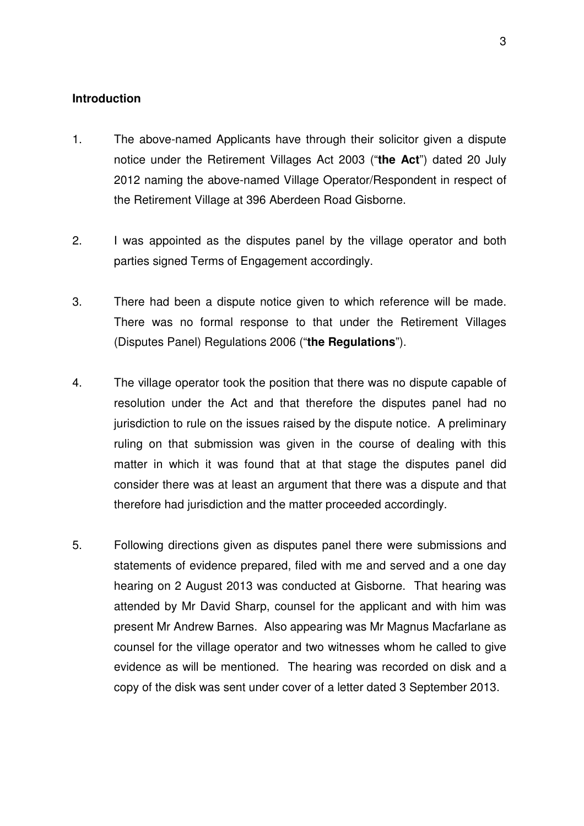#### **Introduction**

- 1. The above-named Applicants have through their solicitor given a dispute notice under the Retirement Villages Act 2003 ("**the Act**") dated 20 July 2012 naming the above-named Village Operator/Respondent in respect of the Retirement Village at 396 Aberdeen Road Gisborne.
- 2. I was appointed as the disputes panel by the village operator and both parties signed Terms of Engagement accordingly.
- 3. There had been a dispute notice given to which reference will be made. There was no formal response to that under the Retirement Villages (Disputes Panel) Regulations 2006 ("**the Regulations**").
- 4. The village operator took the position that there was no dispute capable of resolution under the Act and that therefore the disputes panel had no jurisdiction to rule on the issues raised by the dispute notice. A preliminary ruling on that submission was given in the course of dealing with this matter in which it was found that at that stage the disputes panel did consider there was at least an argument that there was a dispute and that therefore had jurisdiction and the matter proceeded accordingly.
- 5. Following directions given as disputes panel there were submissions and statements of evidence prepared, filed with me and served and a one day hearing on 2 August 2013 was conducted at Gisborne. That hearing was attended by Mr David Sharp, counsel for the applicant and with him was present Mr Andrew Barnes. Also appearing was Mr Magnus Macfarlane as counsel for the village operator and two witnesses whom he called to give evidence as will be mentioned. The hearing was recorded on disk and a copy of the disk was sent under cover of a letter dated 3 September 2013.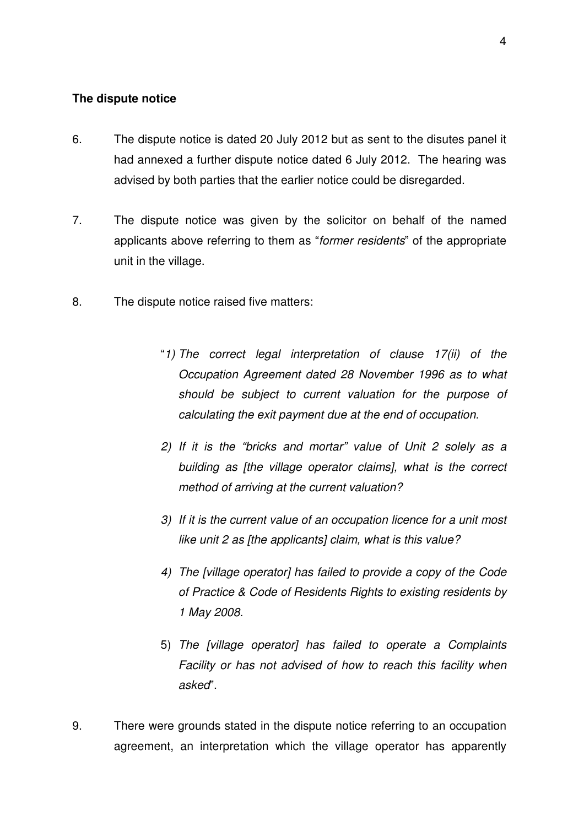# **The dispute notice**

- 6. The dispute notice is dated 20 July 2012 but as sent to the disutes panel it had annexed a further dispute notice dated 6 July 2012. The hearing was advised by both parties that the earlier notice could be disregarded.
- 7. The dispute notice was given by the solicitor on behalf of the named applicants above referring to them as "former residents" of the appropriate unit in the village.
- 8. The dispute notice raised five matters:
	- "1) The correct legal interpretation of clause 17(ii) of the Occupation Agreement dated 28 November 1996 as to what should be subject to current valuation for the purpose of calculating the exit payment due at the end of occupation.
	- 2) If it is the "bricks and mortar" value of Unit 2 solely as a building as [the village operator claims], what is the correct method of arriving at the current valuation?
	- 3) If it is the current value of an occupation licence for a unit most like unit 2 as [the applicants] claim, what is this value?
	- 4) The [village operator] has failed to provide a copy of the Code of Practice & Code of Residents Rights to existing residents by 1 May 2008.
	- 5) The [village operator] has failed to operate a Complaints Facility or has not advised of how to reach this facility when asked".
- 9. There were grounds stated in the dispute notice referring to an occupation agreement, an interpretation which the village operator has apparently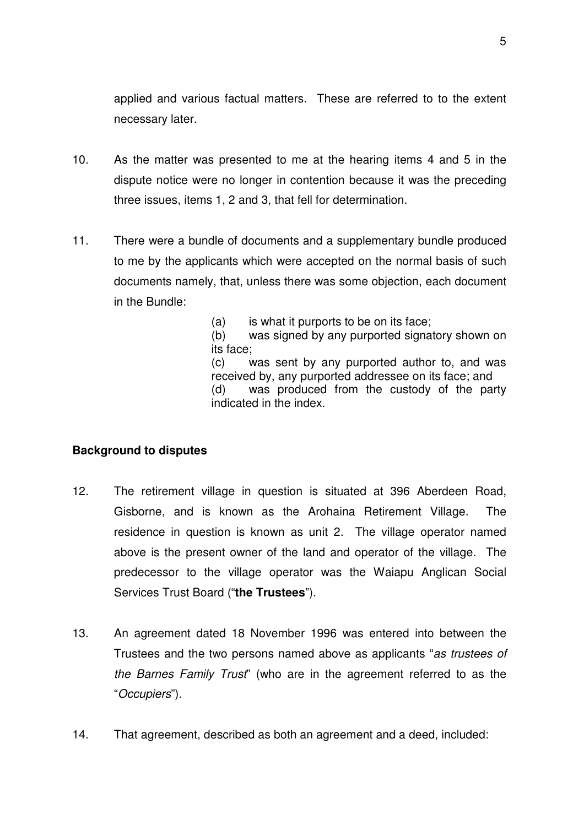applied and various factual matters. These are referred to to the extent necessary later.

- 10. As the matter was presented to me at the hearing items 4 and 5 in the dispute notice were no longer in contention because it was the preceding three issues, items 1, 2 and 3, that fell for determination.
- 11. There were a bundle of documents and a supplementary bundle produced to me by the applicants which were accepted on the normal basis of such documents namely, that, unless there was some objection, each document in the Bundle:

(a) is what it purports to be on its face;

 (b) was signed by any purported signatory shown on its face;

 (c) was sent by any purported author to, and was received by, any purported addressee on its face; and (d) was produced from the custody of the party indicated in the index.

# **Background to disputes**

- 12. The retirement village in question is situated at 396 Aberdeen Road, Gisborne, and is known as the Arohaina Retirement Village. The residence in question is known as unit 2. The village operator named above is the present owner of the land and operator of the village. The predecessor to the village operator was the Waiapu Anglican Social Services Trust Board ("**the Trustees**").
- 13. An agreement dated 18 November 1996 was entered into between the Trustees and the two persons named above as applicants "as trustees of the Barnes Family Trust" (who are in the agreement referred to as the "Occupiers").
- 14. That agreement, described as both an agreement and a deed, included: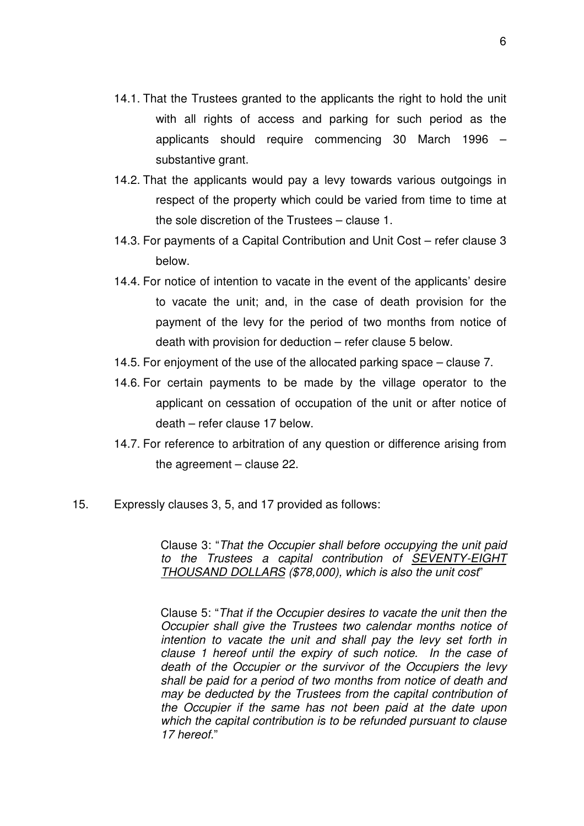- 14.1. That the Trustees granted to the applicants the right to hold the unit with all rights of access and parking for such period as the applicants should require commencing 30 March 1996 – substantive grant.
- 14.2. That the applicants would pay a levy towards various outgoings in respect of the property which could be varied from time to time at the sole discretion of the Trustees – clause 1.
- 14.3. For payments of a Capital Contribution and Unit Cost refer clause 3 below.
- 14.4. For notice of intention to vacate in the event of the applicants' desire to vacate the unit; and, in the case of death provision for the payment of the levy for the period of two months from notice of death with provision for deduction – refer clause 5 below.
- 14.5. For enjoyment of the use of the allocated parking space clause 7.
- 14.6. For certain payments to be made by the village operator to the applicant on cessation of occupation of the unit or after notice of death – refer clause 17 below.
- 14.7. For reference to arbitration of any question or difference arising from the agreement – clause 22.
- 15. Expressly clauses 3, 5, and 17 provided as follows:

Clause 3: "That the Occupier shall before occupying the unit paid to the Trustees a capital contribution of SEVENTY-EIGHT THOUSAND DOLLARS (\$78,000), which is also the unit cost"

Clause 5: "That if the Occupier desires to vacate the unit then the Occupier shall give the Trustees two calendar months notice of intention to vacate the unit and shall pay the levy set forth in clause 1 hereof until the expiry of such notice. In the case of death of the Occupier or the survivor of the Occupiers the levy shall be paid for a period of two months from notice of death and may be deducted by the Trustees from the capital contribution of the Occupier if the same has not been paid at the date upon which the capital contribution is to be refunded pursuant to clause 17 hereof."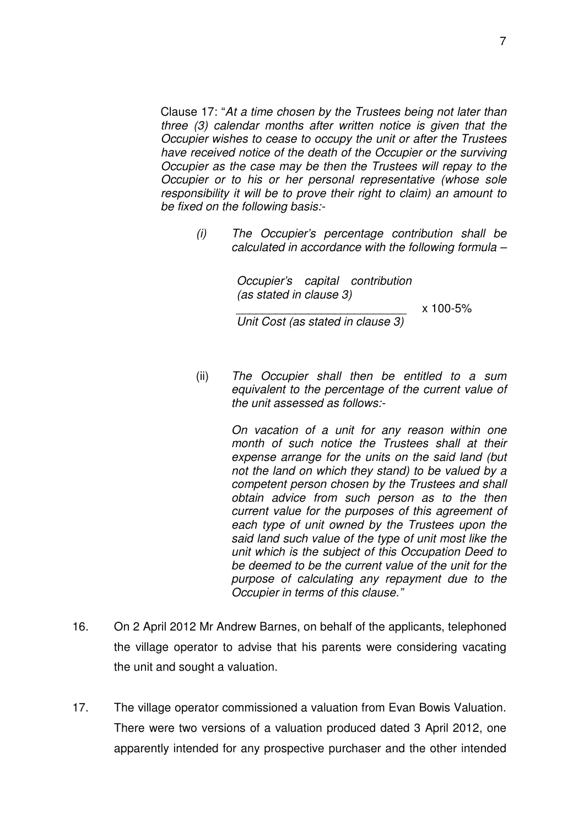Clause 17: "At a time chosen by the Trustees being not later than three (3) calendar months after written notice is given that the Occupier wishes to cease to occupy the unit or after the Trustees have received notice of the death of the Occupier or the surviving Occupier as the case may be then the Trustees will repay to the Occupier or to his or her personal representative (whose sole responsibility it will be to prove their right to claim) an amount to be fixed on the following basis:-

> (i) The Occupier's percentage contribution shall be calculated in accordance with the following formula –

> > Occupier's capital contribution (as stated in clause 3)

> > > $x 100 - 5\%$

\_\_\_\_\_\_\_\_\_\_\_\_\_\_\_\_\_\_\_\_\_\_\_\_\_\_ Unit Cost (as stated in clause 3)

(ii) The Occupier shall then be entitled to a sum equivalent to the percentage of the current value of the unit assessed as follows:-

> On vacation of a unit for any reason within one month of such notice the Trustees shall at their expense arrange for the units on the said land (but not the land on which they stand) to be valued by a competent person chosen by the Trustees and shall obtain advice from such person as to the then current value for the purposes of this agreement of each type of unit owned by the Trustees upon the said land such value of the type of unit most like the unit which is the subject of this Occupation Deed to be deemed to be the current value of the unit for the purpose of calculating any repayment due to the Occupier in terms of this clause."

- 16. On 2 April 2012 Mr Andrew Barnes, on behalf of the applicants, telephoned the village operator to advise that his parents were considering vacating the unit and sought a valuation.
- 17. The village operator commissioned a valuation from Evan Bowis Valuation. There were two versions of a valuation produced dated 3 April 2012, one apparently intended for any prospective purchaser and the other intended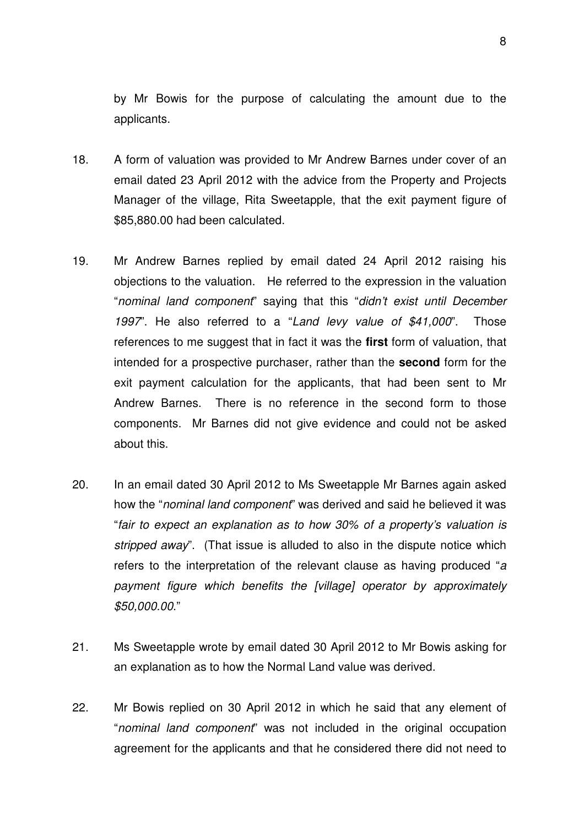by Mr Bowis for the purpose of calculating the amount due to the applicants.

- 18. A form of valuation was provided to Mr Andrew Barnes under cover of an email dated 23 April 2012 with the advice from the Property and Projects Manager of the village, Rita Sweetapple, that the exit payment figure of \$85,880.00 had been calculated.
- 19. Mr Andrew Barnes replied by email dated 24 April 2012 raising his objections to the valuation. He referred to the expression in the valuation "nominal land component" saying that this "didn't exist until December 1997". He also referred to a "Land levy value of \$41,000". Those references to me suggest that in fact it was the **first** form of valuation, that intended for a prospective purchaser, rather than the **second** form for the exit payment calculation for the applicants, that had been sent to Mr Andrew Barnes. There is no reference in the second form to those components. Mr Barnes did not give evidence and could not be asked about this.
- 20. In an email dated 30 April 2012 to Ms Sweetapple Mr Barnes again asked how the "nominal land component" was derived and said he believed it was "fair to expect an explanation as to how 30% of a property's valuation is stripped away". (That issue is alluded to also in the dispute notice which refers to the interpretation of the relevant clause as having produced "a payment figure which benefits the [village] operator by approximately \$50,000.00."
- 21. Ms Sweetapple wrote by email dated 30 April 2012 to Mr Bowis asking for an explanation as to how the Normal Land value was derived.
- 22. Mr Bowis replied on 30 April 2012 in which he said that any element of "nominal land component" was not included in the original occupation agreement for the applicants and that he considered there did not need to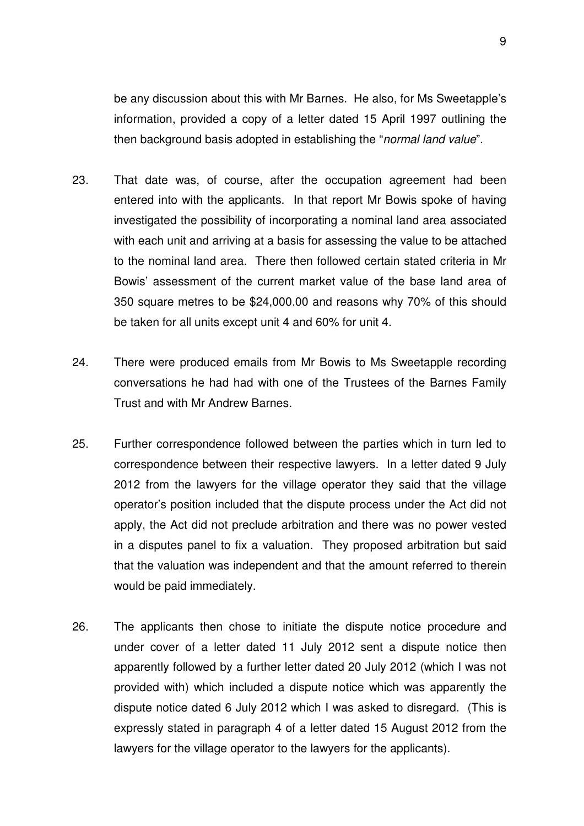be any discussion about this with Mr Barnes. He also, for Ms Sweetapple's information, provided a copy of a letter dated 15 April 1997 outlining the then background basis adopted in establishing the "normal land value".

- 23. That date was, of course, after the occupation agreement had been entered into with the applicants. In that report Mr Bowis spoke of having investigated the possibility of incorporating a nominal land area associated with each unit and arriving at a basis for assessing the value to be attached to the nominal land area. There then followed certain stated criteria in Mr Bowis' assessment of the current market value of the base land area of 350 square metres to be \$24,000.00 and reasons why 70% of this should be taken for all units except unit 4 and 60% for unit 4.
- 24. There were produced emails from Mr Bowis to Ms Sweetapple recording conversations he had had with one of the Trustees of the Barnes Family Trust and with Mr Andrew Barnes.
- 25. Further correspondence followed between the parties which in turn led to correspondence between their respective lawyers. In a letter dated 9 July 2012 from the lawyers for the village operator they said that the village operator's position included that the dispute process under the Act did not apply, the Act did not preclude arbitration and there was no power vested in a disputes panel to fix a valuation. They proposed arbitration but said that the valuation was independent and that the amount referred to therein would be paid immediately.
- 26. The applicants then chose to initiate the dispute notice procedure and under cover of a letter dated 11 July 2012 sent a dispute notice then apparently followed by a further letter dated 20 July 2012 (which I was not provided with) which included a dispute notice which was apparently the dispute notice dated 6 July 2012 which I was asked to disregard. (This is expressly stated in paragraph 4 of a letter dated 15 August 2012 from the lawyers for the village operator to the lawyers for the applicants).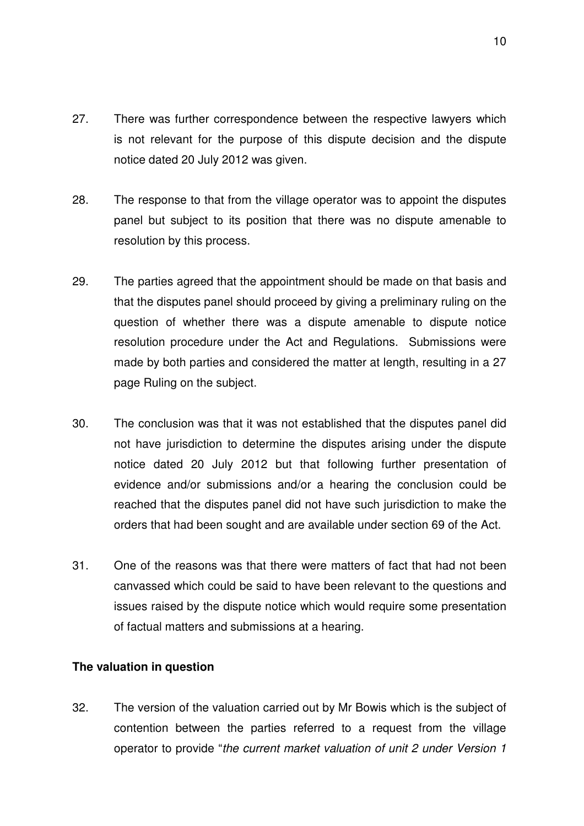- 27. There was further correspondence between the respective lawyers which is not relevant for the purpose of this dispute decision and the dispute notice dated 20 July 2012 was given.
- 28. The response to that from the village operator was to appoint the disputes panel but subject to its position that there was no dispute amenable to resolution by this process.
- 29. The parties agreed that the appointment should be made on that basis and that the disputes panel should proceed by giving a preliminary ruling on the question of whether there was a dispute amenable to dispute notice resolution procedure under the Act and Regulations. Submissions were made by both parties and considered the matter at length, resulting in a 27 page Ruling on the subject.
- 30. The conclusion was that it was not established that the disputes panel did not have jurisdiction to determine the disputes arising under the dispute notice dated 20 July 2012 but that following further presentation of evidence and/or submissions and/or a hearing the conclusion could be reached that the disputes panel did not have such jurisdiction to make the orders that had been sought and are available under section 69 of the Act.
- 31. One of the reasons was that there were matters of fact that had not been canvassed which could be said to have been relevant to the questions and issues raised by the dispute notice which would require some presentation of factual matters and submissions at a hearing.

# **The valuation in question**

32. The version of the valuation carried out by Mr Bowis which is the subject of contention between the parties referred to a request from the village operator to provide "the current market valuation of unit 2 under Version 1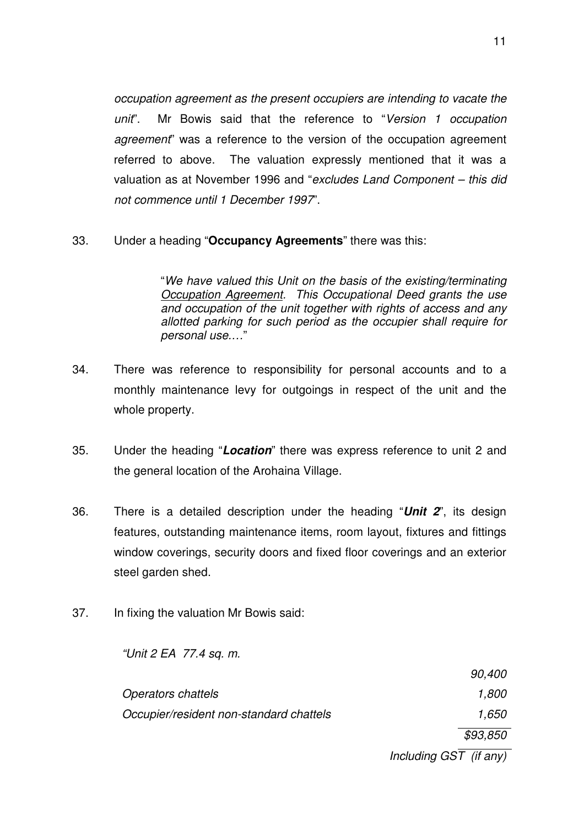occupation agreement as the present occupiers are intending to vacate the unit". Mr Bowis said that the reference to "Version 1 occupation agreement" was a reference to the version of the occupation agreement referred to above. The valuation expressly mentioned that it was a valuation as at November 1996 and "excludes Land Component – this did not commence until 1 December 1997".

#### 33. Under a heading "**Occupancy Agreements**" there was this:

"We have valued this Unit on the basis of the existing/terminating Occupation Agreement. This Occupational Deed grants the use and occupation of the unit together with rights of access and any allotted parking for such period as the occupier shall require for personal use.…"

- 34. There was reference to responsibility for personal accounts and to a monthly maintenance levy for outgoings in respect of the unit and the whole property.
- 35. Under the heading "**Location**" there was express reference to unit 2 and the general location of the Arohaina Village.
- 36. There is a detailed description under the heading "**Unit 2**", its design features, outstanding maintenance items, room layout, fixtures and fittings window coverings, security doors and fixed floor coverings and an exterior steel garden shed.
- 37. In fixing the valuation Mr Bowis said:

"Unit 2 EA 77.4 sq. m.

|                                         | 90,400   |
|-----------------------------------------|----------|
| <b>Operators chattels</b>               | 1,800    |
| Occupier/resident non-standard chattels | 1.650    |
|                                         | \$93,850 |

Including  $GS\overline{T}$  (if any)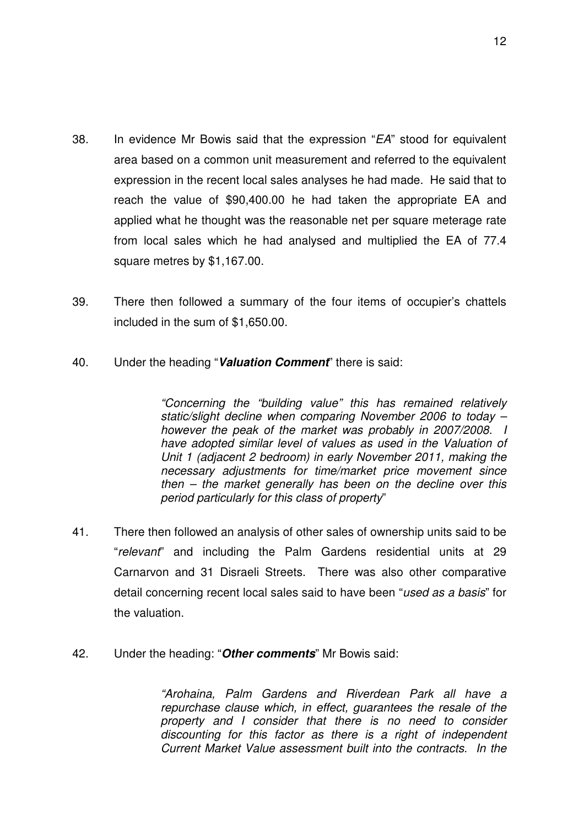- 38. In evidence Mr Bowis said that the expression "EA" stood for equivalent area based on a common unit measurement and referred to the equivalent expression in the recent local sales analyses he had made. He said that to reach the value of \$90,400.00 he had taken the appropriate EA and applied what he thought was the reasonable net per square meterage rate from local sales which he had analysed and multiplied the EA of 77.4 square metres by \$1,167.00.
- 39. There then followed a summary of the four items of occupier's chattels included in the sum of \$1,650.00.
- 40. Under the heading "**Valuation Comment**" there is said:

"Concerning the "building value" this has remained relatively static/slight decline when comparing November 2006 to today – however the peak of the market was probably in 2007/2008. I have adopted similar level of values as used in the Valuation of Unit 1 (adjacent 2 bedroom) in early November 2011, making the necessary adjustments for time/market price movement since then – the market generally has been on the decline over this period particularly for this class of property"

- 41. There then followed an analysis of other sales of ownership units said to be "relevant" and including the Palm Gardens residential units at 29 Carnarvon and 31 Disraeli Streets. There was also other comparative detail concerning recent local sales said to have been "used as a basis" for the valuation.
- 42. Under the heading: "**Other comments**" Mr Bowis said:

"Arohaina, Palm Gardens and Riverdean Park all have a repurchase clause which, in effect, guarantees the resale of the property and I consider that there is no need to consider discounting for this factor as there is a right of independent Current Market Value assessment built into the contracts. In the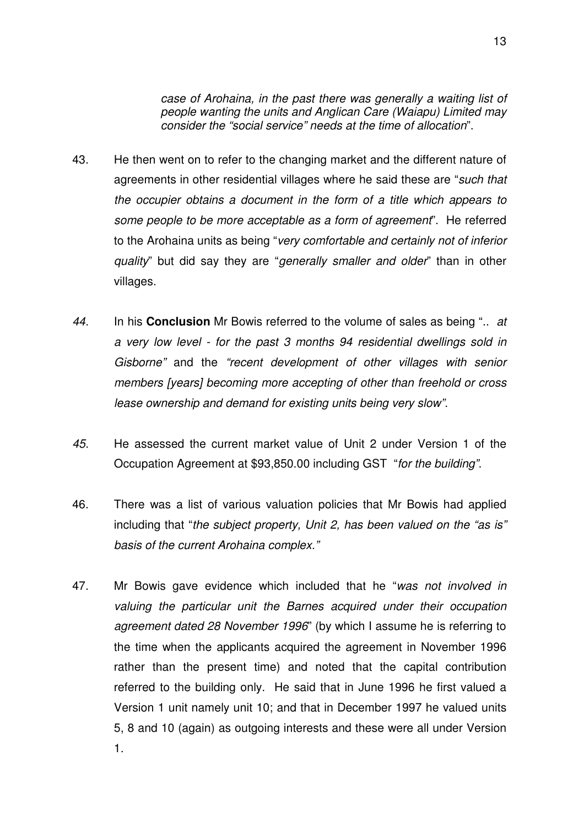case of Arohaina, in the past there was generally a waiting list of people wanting the units and Anglican Care (Waiapu) Limited may consider the "social service" needs at the time of allocation".

- 43. He then went on to refer to the changing market and the different nature of agreements in other residential villages where he said these are "such that the occupier obtains a document in the form of a title which appears to some people to be more acceptable as a form of agreement". He referred to the Arohaina units as being "very comfortable and certainly not of inferior quality" but did say they are "generally smaller and older" than in other villages.
- 44. In his **Conclusion** Mr Bowis referred to the volume of sales as being ".. at a very low level - for the past 3 months 94 residential dwellings sold in Gisborne" and the "recent development of other villages with senior members [years] becoming more accepting of other than freehold or cross lease ownership and demand for existing units being very slow".
- 45. He assessed the current market value of Unit 2 under Version 1 of the Occupation Agreement at \$93,850.00 including GST "for the building".
- 46. There was a list of various valuation policies that Mr Bowis had applied including that "the subject property, Unit 2, has been valued on the "as is" basis of the current Arohaina complex."
- 47. Mr Bowis gave evidence which included that he "was not involved in valuing the particular unit the Barnes acquired under their occupation agreement dated 28 November 1996" (by which I assume he is referring to the time when the applicants acquired the agreement in November 1996 rather than the present time) and noted that the capital contribution referred to the building only. He said that in June 1996 he first valued a Version 1 unit namely unit 10; and that in December 1997 he valued units 5, 8 and 10 (again) as outgoing interests and these were all under Version 1.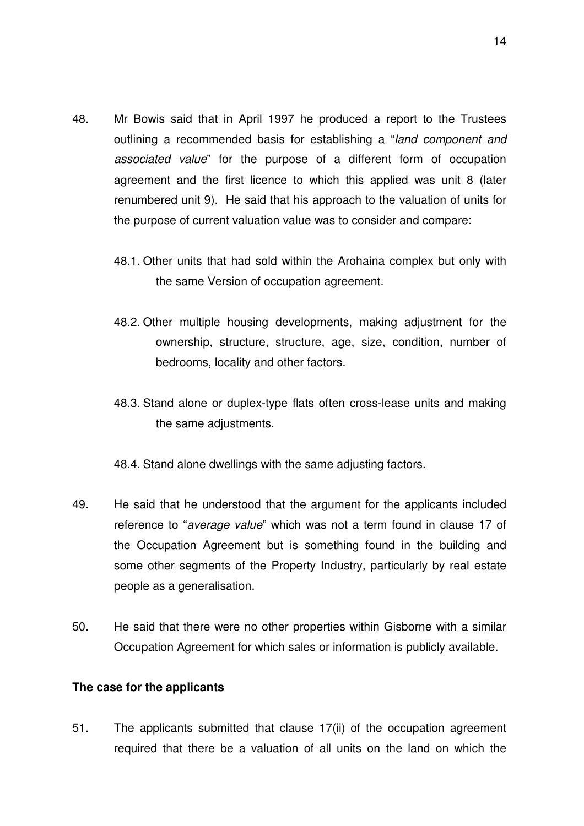- 48. Mr Bowis said that in April 1997 he produced a report to the Trustees outlining a recommended basis for establishing a "land component and associated value" for the purpose of a different form of occupation agreement and the first licence to which this applied was unit 8 (later renumbered unit 9). He said that his approach to the valuation of units for the purpose of current valuation value was to consider and compare:
	- 48.1. Other units that had sold within the Arohaina complex but only with the same Version of occupation agreement.
	- 48.2. Other multiple housing developments, making adjustment for the ownership, structure, structure, age, size, condition, number of bedrooms, locality and other factors.
	- 48.3. Stand alone or duplex-type flats often cross-lease units and making the same adjustments.
	- 48.4. Stand alone dwellings with the same adjusting factors.
- 49. He said that he understood that the argument for the applicants included reference to "average value" which was not a term found in clause 17 of the Occupation Agreement but is something found in the building and some other segments of the Property Industry, particularly by real estate people as a generalisation.
- 50. He said that there were no other properties within Gisborne with a similar Occupation Agreement for which sales or information is publicly available.

#### **The case for the applicants**

51. The applicants submitted that clause 17(ii) of the occupation agreement required that there be a valuation of all units on the land on which the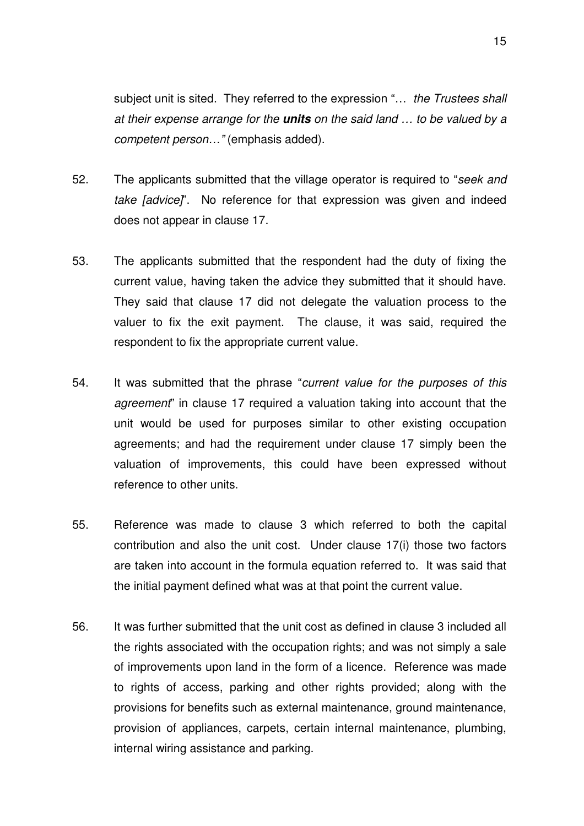subject unit is sited. They referred to the expression "... the Trustees shall at their expense arrange for the **units** on the said land … to be valued by a competent person…" (emphasis added).

- 52. The applicants submitted that the village operator is required to "seek and take [advice]". No reference for that expression was given and indeed does not appear in clause 17.
- 53. The applicants submitted that the respondent had the duty of fixing the current value, having taken the advice they submitted that it should have. They said that clause 17 did not delegate the valuation process to the valuer to fix the exit payment. The clause, it was said, required the respondent to fix the appropriate current value.
- 54. It was submitted that the phrase "current value for the purposes of this agreement" in clause 17 required a valuation taking into account that the unit would be used for purposes similar to other existing occupation agreements; and had the requirement under clause 17 simply been the valuation of improvements, this could have been expressed without reference to other units.
- 55. Reference was made to clause 3 which referred to both the capital contribution and also the unit cost. Under clause 17(i) those two factors are taken into account in the formula equation referred to. It was said that the initial payment defined what was at that point the current value.
- 56. It was further submitted that the unit cost as defined in clause 3 included all the rights associated with the occupation rights; and was not simply a sale of improvements upon land in the form of a licence. Reference was made to rights of access, parking and other rights provided; along with the provisions for benefits such as external maintenance, ground maintenance, provision of appliances, carpets, certain internal maintenance, plumbing, internal wiring assistance and parking.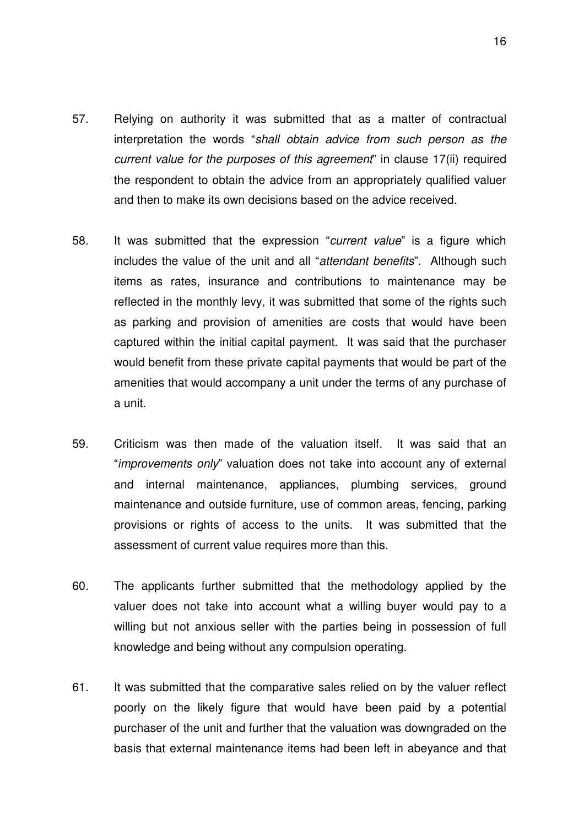- 57. Relying on authority it was submitted that as a matter of contractual interpretation the words "shall obtain advice from such person as the current value for the purposes of this agreement" in clause 17(ii) required the respondent to obtain the advice from an appropriately qualified valuer and then to make its own decisions based on the advice received.
- 58. It was submitted that the expression "current value" is a figure which includes the value of the unit and all "attendant benefits". Although such items as rates, insurance and contributions to maintenance may be reflected in the monthly levy, it was submitted that some of the rights such as parking and provision of amenities are costs that would have been captured within the initial capital payment. It was said that the purchaser would benefit from these private capital payments that would be part of the amenities that would accompany a unit under the terms of any purchase of a unit.
- 59. Criticism was then made of the valuation itself. It was said that an "improvements only" valuation does not take into account any of external and internal maintenance, appliances, plumbing services, ground maintenance and outside furniture, use of common areas, fencing, parking provisions or rights of access to the units. It was submitted that the assessment of current value requires more than this.
- 60. The applicants further submitted that the methodology applied by the valuer does not take into account what a willing buyer would pay to a willing but not anxious seller with the parties being in possession of full knowledge and being without any compulsion operating.
- 61. It was submitted that the comparative sales relied on by the valuer reflect poorly on the likely figure that would have been paid by a potential purchaser of the unit and further that the valuation was downgraded on the basis that external maintenance items had been left in abeyance and that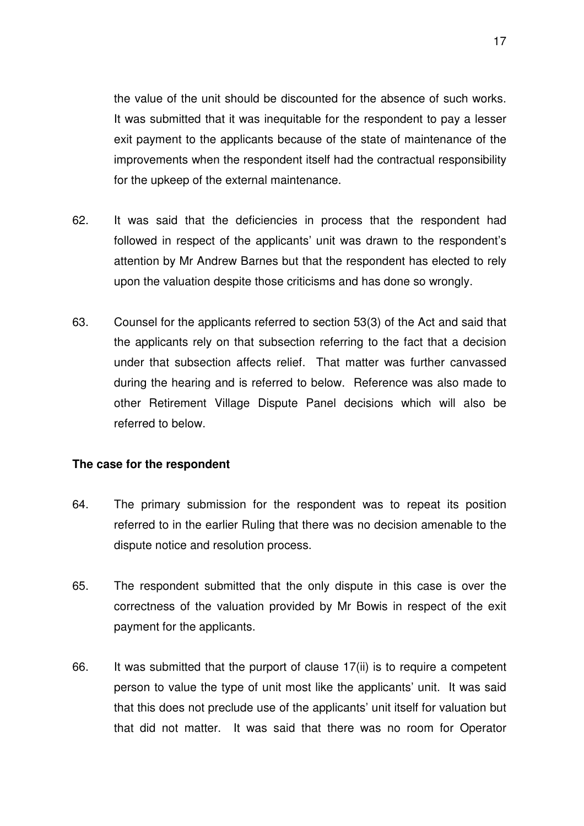the value of the unit should be discounted for the absence of such works. It was submitted that it was inequitable for the respondent to pay a lesser exit payment to the applicants because of the state of maintenance of the improvements when the respondent itself had the contractual responsibility for the upkeep of the external maintenance.

- 62. It was said that the deficiencies in process that the respondent had followed in respect of the applicants' unit was drawn to the respondent's attention by Mr Andrew Barnes but that the respondent has elected to rely upon the valuation despite those criticisms and has done so wrongly.
- 63. Counsel for the applicants referred to section 53(3) of the Act and said that the applicants rely on that subsection referring to the fact that a decision under that subsection affects relief. That matter was further canvassed during the hearing and is referred to below. Reference was also made to other Retirement Village Dispute Panel decisions which will also be referred to below.

#### **The case for the respondent**

- 64. The primary submission for the respondent was to repeat its position referred to in the earlier Ruling that there was no decision amenable to the dispute notice and resolution process.
- 65. The respondent submitted that the only dispute in this case is over the correctness of the valuation provided by Mr Bowis in respect of the exit payment for the applicants.
- 66. It was submitted that the purport of clause 17(ii) is to require a competent person to value the type of unit most like the applicants' unit. It was said that this does not preclude use of the applicants' unit itself for valuation but that did not matter. It was said that there was no room for Operator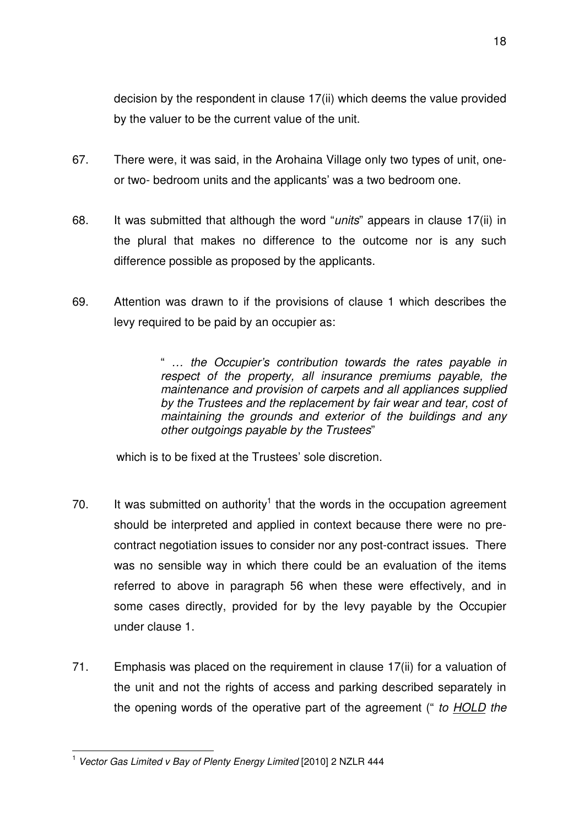decision by the respondent in clause 17(ii) which deems the value provided by the valuer to be the current value of the unit.

- 67. There were, it was said, in the Arohaina Village only two types of unit, oneor two- bedroom units and the applicants' was a two bedroom one.
- 68. It was submitted that although the word "*units*" appears in clause 17(ii) in the plural that makes no difference to the outcome nor is any such difference possible as proposed by the applicants.
- 69. Attention was drawn to if the provisions of clause 1 which describes the levy required to be paid by an occupier as:

" … the Occupier's contribution towards the rates payable in respect of the property, all insurance premiums payable, the maintenance and provision of carpets and all appliances supplied by the Trustees and the replacement by fair wear and tear, cost of maintaining the grounds and exterior of the buildings and any other outgoings payable by the Trustees"

which is to be fixed at the Trustees' sole discretion.

- 70. It was submitted on authority<sup>1</sup> that the words in the occupation agreement should be interpreted and applied in context because there were no precontract negotiation issues to consider nor any post-contract issues. There was no sensible way in which there could be an evaluation of the items referred to above in paragraph 56 when these were effectively, and in some cases directly, provided for by the levy payable by the Occupier under clause 1.
- 71. Emphasis was placed on the requirement in clause 17(ii) for a valuation of the unit and not the rights of access and parking described separately in the opening words of the operative part of the agreement (" to **HOLD** the

 1 Vector Gas Limited v Bay of Plenty Energy Limited [2010] 2 NZLR 444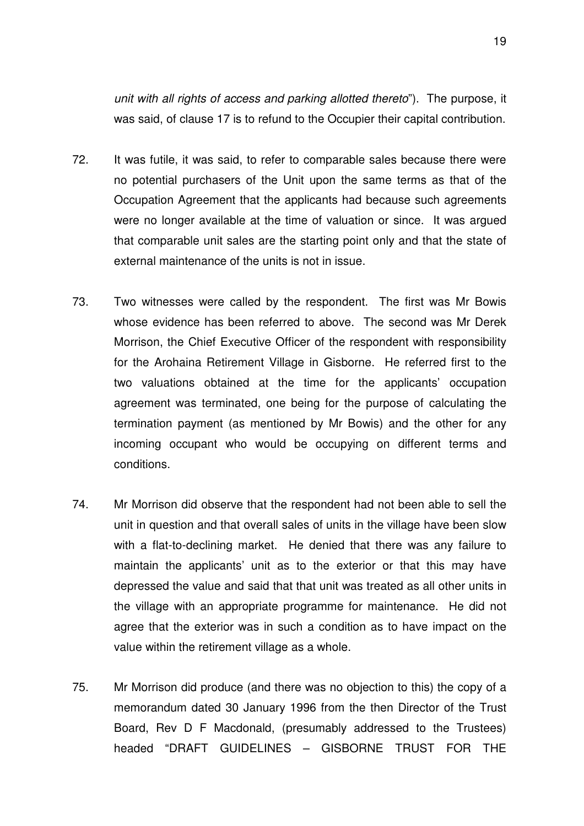unit with all rights of access and parking allotted thereto"). The purpose, it was said, of clause 17 is to refund to the Occupier their capital contribution.

- 72. It was futile, it was said, to refer to comparable sales because there were no potential purchasers of the Unit upon the same terms as that of the Occupation Agreement that the applicants had because such agreements were no longer available at the time of valuation or since. It was argued that comparable unit sales are the starting point only and that the state of external maintenance of the units is not in issue.
- 73. Two witnesses were called by the respondent. The first was Mr Bowis whose evidence has been referred to above. The second was Mr Derek Morrison, the Chief Executive Officer of the respondent with responsibility for the Arohaina Retirement Village in Gisborne. He referred first to the two valuations obtained at the time for the applicants' occupation agreement was terminated, one being for the purpose of calculating the termination payment (as mentioned by Mr Bowis) and the other for any incoming occupant who would be occupying on different terms and conditions.
- 74. Mr Morrison did observe that the respondent had not been able to sell the unit in question and that overall sales of units in the village have been slow with a flat-to-declining market. He denied that there was any failure to maintain the applicants' unit as to the exterior or that this may have depressed the value and said that that unit was treated as all other units in the village with an appropriate programme for maintenance. He did not agree that the exterior was in such a condition as to have impact on the value within the retirement village as a whole.
- 75. Mr Morrison did produce (and there was no objection to this) the copy of a memorandum dated 30 January 1996 from the then Director of the Trust Board, Rev D F Macdonald, (presumably addressed to the Trustees) headed "DRAFT GUIDELINES – GISBORNE TRUST FOR THE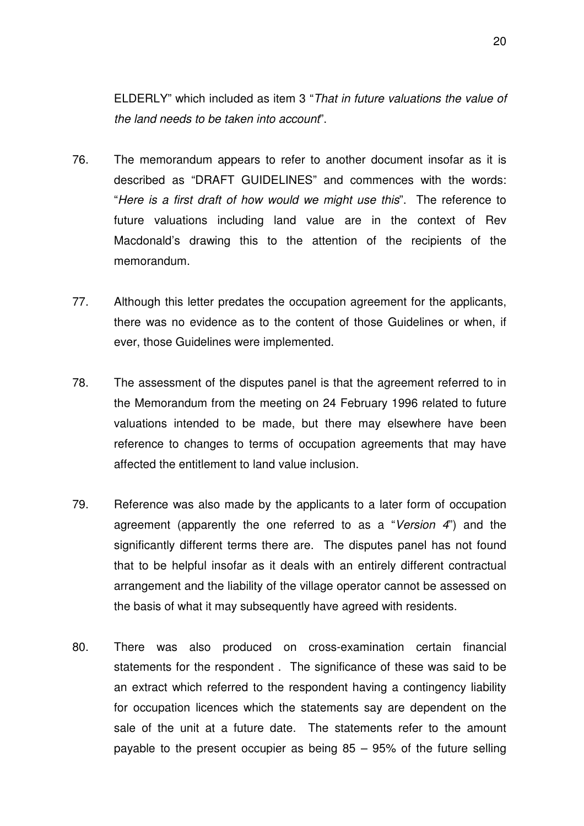ELDERLY" which included as item 3 "That in future valuations the value of the land needs to be taken into account".

- 76. The memorandum appears to refer to another document insofar as it is described as "DRAFT GUIDELINES" and commences with the words: "Here is a first draft of how would we might use this". The reference to future valuations including land value are in the context of Rev Macdonald's drawing this to the attention of the recipients of the memorandum.
- 77. Although this letter predates the occupation agreement for the applicants, there was no evidence as to the content of those Guidelines or when, if ever, those Guidelines were implemented.
- 78. The assessment of the disputes panel is that the agreement referred to in the Memorandum from the meeting on 24 February 1996 related to future valuations intended to be made, but there may elsewhere have been reference to changes to terms of occupation agreements that may have affected the entitlement to land value inclusion.
- 79. Reference was also made by the applicants to a later form of occupation agreement (apparently the one referred to as a "Version 4") and the significantly different terms there are. The disputes panel has not found that to be helpful insofar as it deals with an entirely different contractual arrangement and the liability of the village operator cannot be assessed on the basis of what it may subsequently have agreed with residents.
- 80. There was also produced on cross-examination certain financial statements for the respondent . The significance of these was said to be an extract which referred to the respondent having a contingency liability for occupation licences which the statements say are dependent on the sale of the unit at a future date. The statements refer to the amount payable to the present occupier as being 85 – 95% of the future selling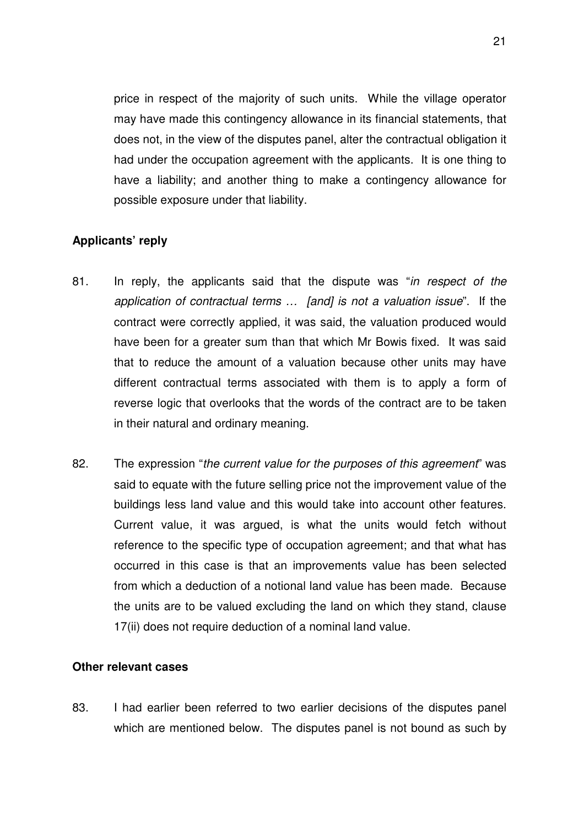price in respect of the majority of such units. While the village operator may have made this contingency allowance in its financial statements, that does not, in the view of the disputes panel, alter the contractual obligation it had under the occupation agreement with the applicants. It is one thing to have a liability; and another thing to make a contingency allowance for possible exposure under that liability.

# **Applicants' reply**

- 81. In reply, the applicants said that the dispute was "in respect of the application of contractual terms … [and] is not a valuation issue". If the contract were correctly applied, it was said, the valuation produced would have been for a greater sum than that which Mr Bowis fixed. It was said that to reduce the amount of a valuation because other units may have different contractual terms associated with them is to apply a form of reverse logic that overlooks that the words of the contract are to be taken in their natural and ordinary meaning.
- 82. The expression "the current value for the purposes of this agreement" was said to equate with the future selling price not the improvement value of the buildings less land value and this would take into account other features. Current value, it was argued, is what the units would fetch without reference to the specific type of occupation agreement; and that what has occurred in this case is that an improvements value has been selected from which a deduction of a notional land value has been made. Because the units are to be valued excluding the land on which they stand, clause 17(ii) does not require deduction of a nominal land value.

#### **Other relevant cases**

83. I had earlier been referred to two earlier decisions of the disputes panel which are mentioned below. The disputes panel is not bound as such by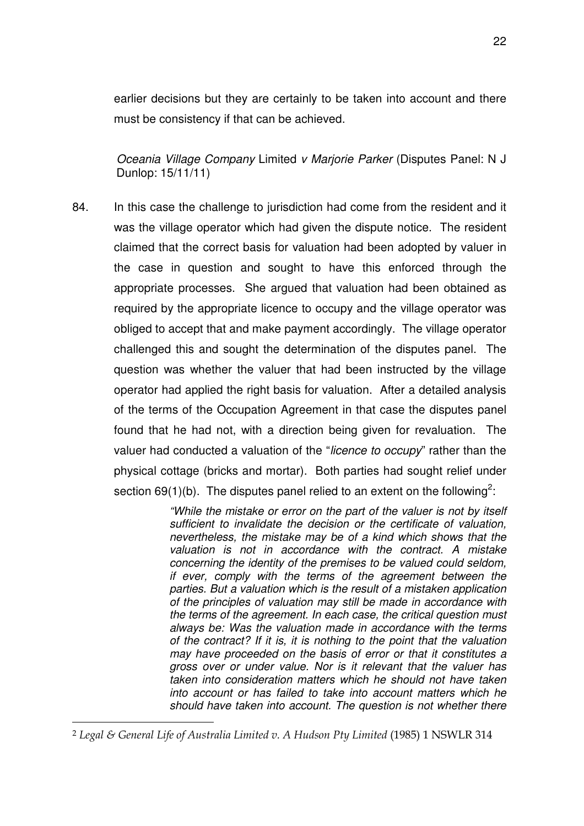earlier decisions but they are certainly to be taken into account and there must be consistency if that can be achieved.

Oceania Village Company Limited v Marjorie Parker (Disputes Panel: N J Dunlop: 15/11/11)

84. In this case the challenge to jurisdiction had come from the resident and it was the village operator which had given the dispute notice. The resident claimed that the correct basis for valuation had been adopted by valuer in the case in question and sought to have this enforced through the appropriate processes. She argued that valuation had been obtained as required by the appropriate licence to occupy and the village operator was obliged to accept that and make payment accordingly. The village operator challenged this and sought the determination of the disputes panel. The question was whether the valuer that had been instructed by the village operator had applied the right basis for valuation. After a detailed analysis of the terms of the Occupation Agreement in that case the disputes panel found that he had not, with a direction being given for revaluation. The valuer had conducted a valuation of the "licence to occupy" rather than the physical cottage (bricks and mortar). Both parties had sought relief under section 69(1)(b). The disputes panel relied to an extent on the following<sup>2</sup>:

> "While the mistake or error on the part of the valuer is not by itself sufficient to invalidate the decision or the certificate of valuation, nevertheless, the mistake may be of a kind which shows that the valuation is not in accordance with the contract. A mistake concerning the identity of the premises to be valued could seldom, if ever, comply with the terms of the agreement between the parties. But a valuation which is the result of a mistaken application of the principles of valuation may still be made in accordance with the terms of the agreement. In each case, the critical question must always be: Was the valuation made in accordance with the terms of the contract? If it is, it is nothing to the point that the valuation may have proceeded on the basis of error or that it constitutes a gross over or under value. Nor is it relevant that the valuer has taken into consideration matters which he should not have taken into account or has failed to take into account matters which he should have taken into account. The question is not whether there

 $\overline{a}$ 

<sup>2</sup> Legal & General Life of Australia Limited v. A Hudson Pty Limited (1985) 1 NSWLR 314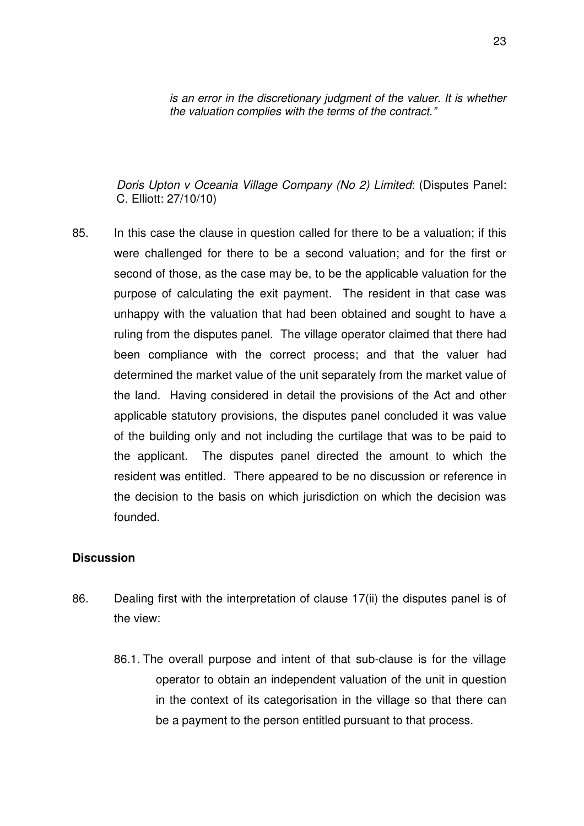is an error in the discretionary judgment of the valuer. It is whether the valuation complies with the terms of the contract."

Doris Upton v Oceania Village Company (No 2) Limited: (Disputes Panel: C. Elliott: 27/10/10)

85. In this case the clause in question called for there to be a valuation; if this were challenged for there to be a second valuation; and for the first or second of those, as the case may be, to be the applicable valuation for the purpose of calculating the exit payment. The resident in that case was unhappy with the valuation that had been obtained and sought to have a ruling from the disputes panel. The village operator claimed that there had been compliance with the correct process; and that the valuer had determined the market value of the unit separately from the market value of the land. Having considered in detail the provisions of the Act and other applicable statutory provisions, the disputes panel concluded it was value of the building only and not including the curtilage that was to be paid to the applicant. The disputes panel directed the amount to which the resident was entitled. There appeared to be no discussion or reference in the decision to the basis on which jurisdiction on which the decision was founded.

#### **Discussion**

- 86. Dealing first with the interpretation of clause 17(ii) the disputes panel is of the view:
	- 86.1. The overall purpose and intent of that sub-clause is for the village operator to obtain an independent valuation of the unit in question in the context of its categorisation in the village so that there can be a payment to the person entitled pursuant to that process.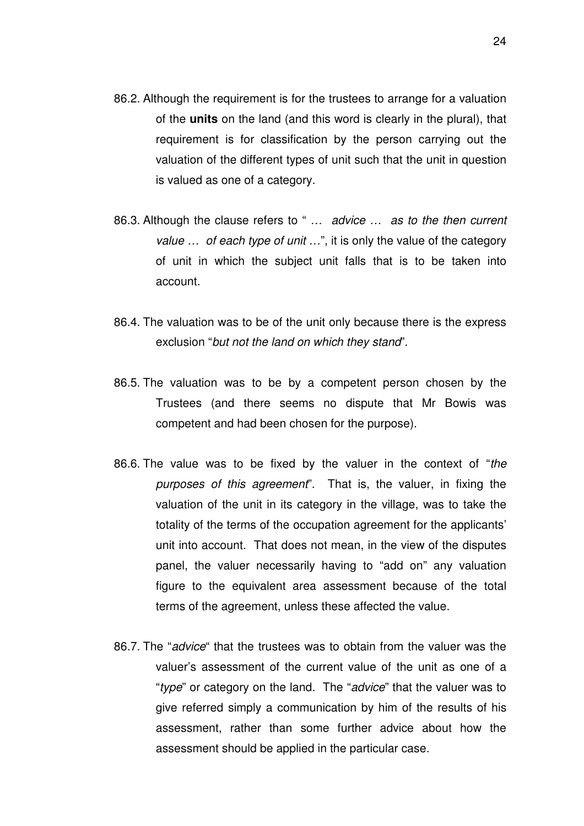- 86.2. Although the requirement is for the trustees to arrange for a valuation of the **units** on the land (and this word is clearly in the plural), that requirement is for classification by the person carrying out the valuation of the different types of unit such that the unit in question is valued as one of a category.
- 86.3. Although the clause refers to " ... advice ... as to the then current value ... of each type of unit ...", it is only the value of the category of unit in which the subject unit falls that is to be taken into account.
- 86.4. The valuation was to be of the unit only because there is the express exclusion "but not the land on which they stand".
- 86.5. The valuation was to be by a competent person chosen by the Trustees (and there seems no dispute that Mr Bowis was competent and had been chosen for the purpose).
- 86.6. The value was to be fixed by the valuer in the context of "the purposes of this agreement". That is, the valuer, in fixing the valuation of the unit in its category in the village, was to take the totality of the terms of the occupation agreement for the applicants' unit into account. That does not mean, in the view of the disputes panel, the valuer necessarily having to "add on" any valuation figure to the equivalent area assessment because of the total terms of the agreement, unless these affected the value.
- 86.7. The "advice" that the trustees was to obtain from the valuer was the valuer's assessment of the current value of the unit as one of a "type" or category on the land. The "advice" that the valuer was to give referred simply a communication by him of the results of his assessment, rather than some further advice about how the assessment should be applied in the particular case.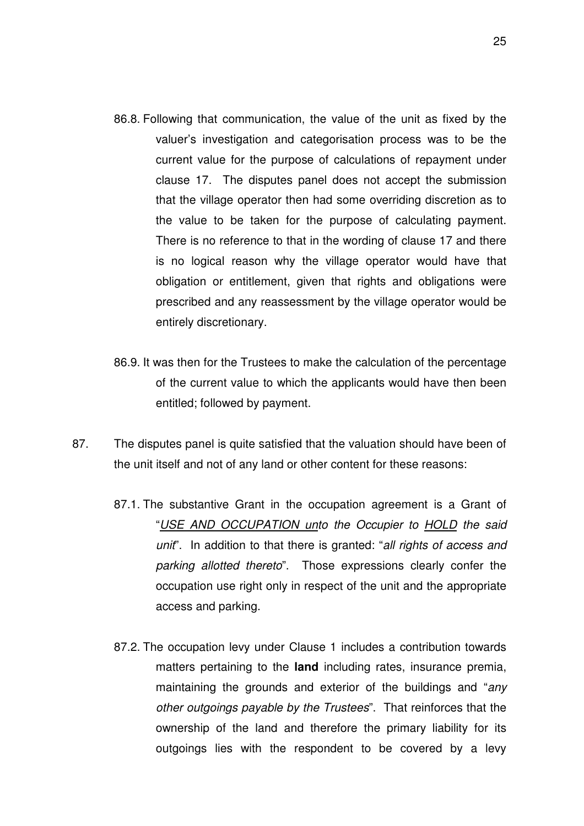- 86.8. Following that communication, the value of the unit as fixed by the valuer's investigation and categorisation process was to be the current value for the purpose of calculations of repayment under clause 17. The disputes panel does not accept the submission that the village operator then had some overriding discretion as to the value to be taken for the purpose of calculating payment. There is no reference to that in the wording of clause 17 and there is no logical reason why the village operator would have that obligation or entitlement, given that rights and obligations were prescribed and any reassessment by the village operator would be entirely discretionary.
- 86.9. It was then for the Trustees to make the calculation of the percentage of the current value to which the applicants would have then been entitled; followed by payment.
- 87. The disputes panel is quite satisfied that the valuation should have been of the unit itself and not of any land or other content for these reasons:
	- 87.1. The substantive Grant in the occupation agreement is a Grant of "USE AND OCCUPATION unto the Occupier to HOLD the said unit". In addition to that there is granted: "all rights of access and parking allotted thereto". Those expressions clearly confer the occupation use right only in respect of the unit and the appropriate access and parking.
	- 87.2. The occupation levy under Clause 1 includes a contribution towards matters pertaining to the **land** including rates, insurance premia, maintaining the grounds and exterior of the buildings and "any other outgoings payable by the Trustees". That reinforces that the ownership of the land and therefore the primary liability for its outgoings lies with the respondent to be covered by a levy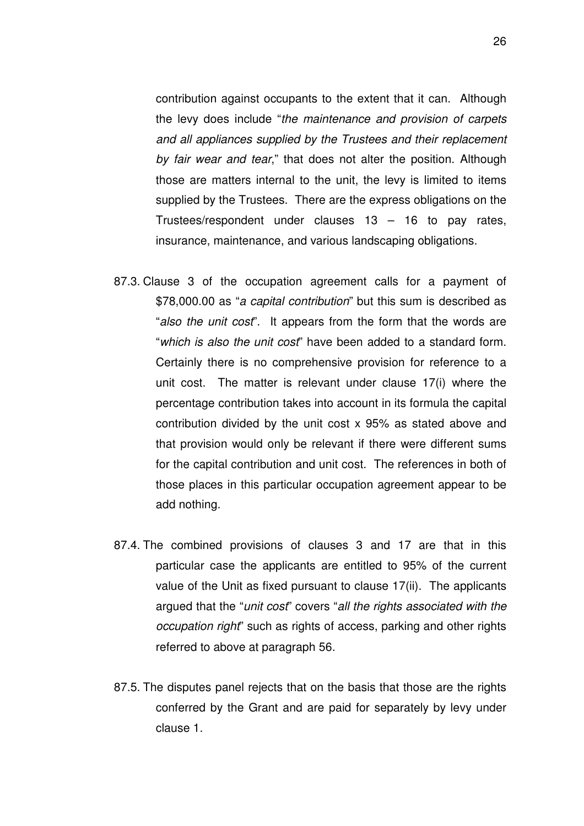contribution against occupants to the extent that it can. Although the levy does include "the maintenance and provision of carpets and all appliances supplied by the Trustees and their replacement by fair wear and tear," that does not alter the position. Although those are matters internal to the unit, the levy is limited to items supplied by the Trustees. There are the express obligations on the Trustees/respondent under clauses 13 – 16 to pay rates, insurance, maintenance, and various landscaping obligations.

- 87.3. Clause 3 of the occupation agreement calls for a payment of \$78,000.00 as "a capital contribution" but this sum is described as "also the unit cost". It appears from the form that the words are "which is also the unit cost" have been added to a standard form. Certainly there is no comprehensive provision for reference to a unit cost. The matter is relevant under clause 17(i) where the percentage contribution takes into account in its formula the capital contribution divided by the unit cost x 95% as stated above and that provision would only be relevant if there were different sums for the capital contribution and unit cost. The references in both of those places in this particular occupation agreement appear to be add nothing.
- 87.4. The combined provisions of clauses 3 and 17 are that in this particular case the applicants are entitled to 95% of the current value of the Unit as fixed pursuant to clause 17(ii). The applicants argued that the "unit cost" covers "all the rights associated with the occupation right" such as rights of access, parking and other rights referred to above at paragraph 56.
- 87.5. The disputes panel rejects that on the basis that those are the rights conferred by the Grant and are paid for separately by levy under clause 1.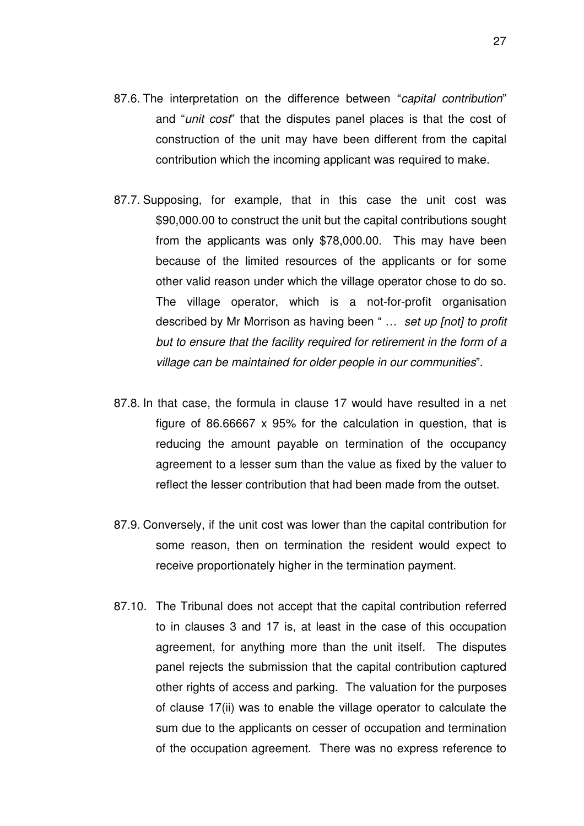- 87.6. The interpretation on the difference between "capital contribution" and "*unit cost*" that the disputes panel places is that the cost of construction of the unit may have been different from the capital contribution which the incoming applicant was required to make.
- 87.7. Supposing, for example, that in this case the unit cost was \$90,000.00 to construct the unit but the capital contributions sought from the applicants was only \$78,000.00. This may have been because of the limited resources of the applicants or for some other valid reason under which the village operator chose to do so. The village operator, which is a not-for-profit organisation described by Mr Morrison as having been " ... set up [not] to profit but to ensure that the facility required for retirement in the form of a village can be maintained for older people in our communities".
- 87.8. In that case, the formula in clause 17 would have resulted in a net figure of 86.66667 x 95% for the calculation in question, that is reducing the amount payable on termination of the occupancy agreement to a lesser sum than the value as fixed by the valuer to reflect the lesser contribution that had been made from the outset.
- 87.9. Conversely, if the unit cost was lower than the capital contribution for some reason, then on termination the resident would expect to receive proportionately higher in the termination payment.
- 87.10. The Tribunal does not accept that the capital contribution referred to in clauses 3 and 17 is, at least in the case of this occupation agreement, for anything more than the unit itself. The disputes panel rejects the submission that the capital contribution captured other rights of access and parking. The valuation for the purposes of clause 17(ii) was to enable the village operator to calculate the sum due to the applicants on cesser of occupation and termination of the occupation agreement. There was no express reference to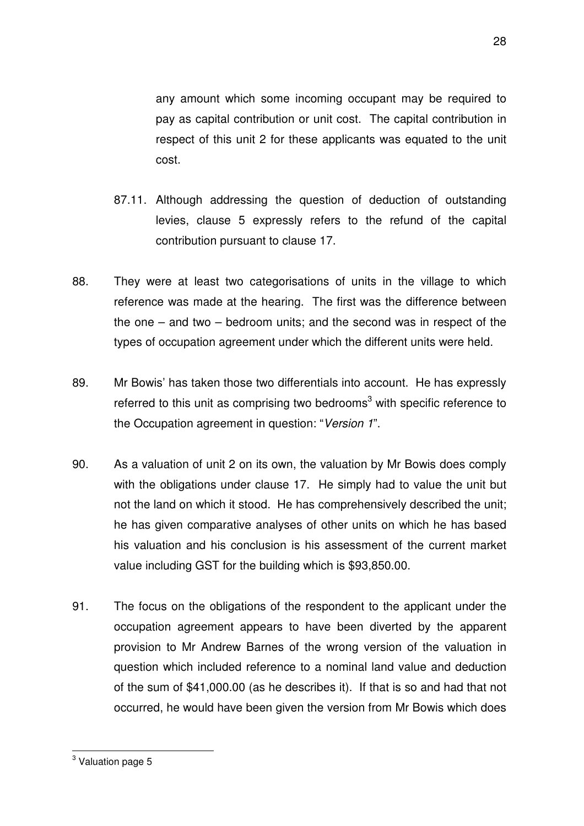any amount which some incoming occupant may be required to pay as capital contribution or unit cost. The capital contribution in respect of this unit 2 for these applicants was equated to the unit cost.

- 87.11. Although addressing the question of deduction of outstanding levies, clause 5 expressly refers to the refund of the capital contribution pursuant to clause 17.
- 88. They were at least two categorisations of units in the village to which reference was made at the hearing. The first was the difference between the one – and two – bedroom units; and the second was in respect of the types of occupation agreement under which the different units were held.
- 89. Mr Bowis' has taken those two differentials into account. He has expressly referred to this unit as comprising two bedrooms<sup>3</sup> with specific reference to the Occupation agreement in question: "Version 1".
- 90. As a valuation of unit 2 on its own, the valuation by Mr Bowis does comply with the obligations under clause 17. He simply had to value the unit but not the land on which it stood. He has comprehensively described the unit; he has given comparative analyses of other units on which he has based his valuation and his conclusion is his assessment of the current market value including GST for the building which is \$93,850.00.
- 91. The focus on the obligations of the respondent to the applicant under the occupation agreement appears to have been diverted by the apparent provision to Mr Andrew Barnes of the wrong version of the valuation in question which included reference to a nominal land value and deduction of the sum of \$41,000.00 (as he describes it). If that is so and had that not occurred, he would have been given the version from Mr Bowis which does

 3 Valuation page 5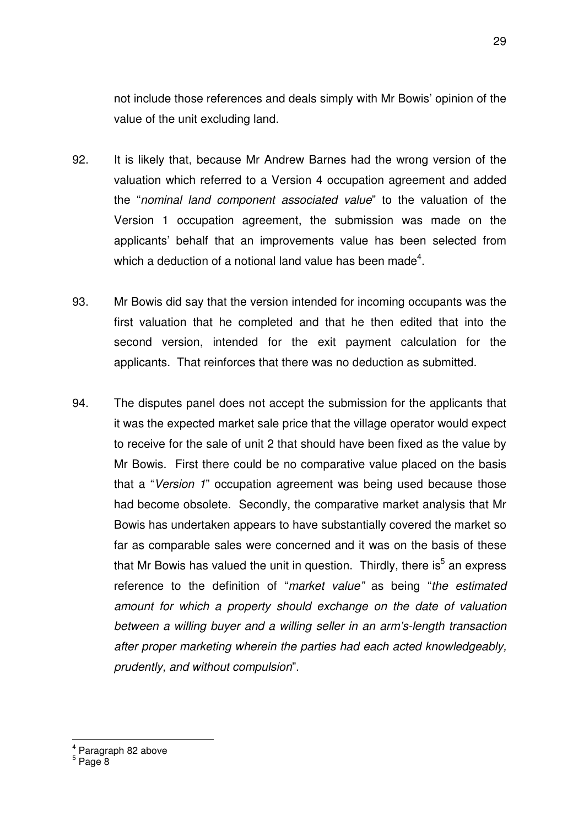not include those references and deals simply with Mr Bowis' opinion of the value of the unit excluding land.

- 92. It is likely that, because Mr Andrew Barnes had the wrong version of the valuation which referred to a Version 4 occupation agreement and added the "nominal land component associated value" to the valuation of the Version 1 occupation agreement, the submission was made on the applicants' behalf that an improvements value has been selected from which a deduction of a notional land value has been made<sup>4</sup>.
- 93. Mr Bowis did say that the version intended for incoming occupants was the first valuation that he completed and that he then edited that into the second version, intended for the exit payment calculation for the applicants. That reinforces that there was no deduction as submitted.
- 94. The disputes panel does not accept the submission for the applicants that it was the expected market sale price that the village operator would expect to receive for the sale of unit 2 that should have been fixed as the value by Mr Bowis. First there could be no comparative value placed on the basis that a "Version 1" occupation agreement was being used because those had become obsolete. Secondly, the comparative market analysis that Mr Bowis has undertaken appears to have substantially covered the market so far as comparable sales were concerned and it was on the basis of these that Mr Bowis has valued the unit in question. Thirdly, there is<sup>5</sup> an express reference to the definition of "market value" as being "the estimated amount for which a property should exchange on the date of valuation between a willing buyer and a willing seller in an arm's-length transaction after proper marketing wherein the parties had each acted knowledgeably, prudently, and without compulsion".

 4 Paragraph 82 above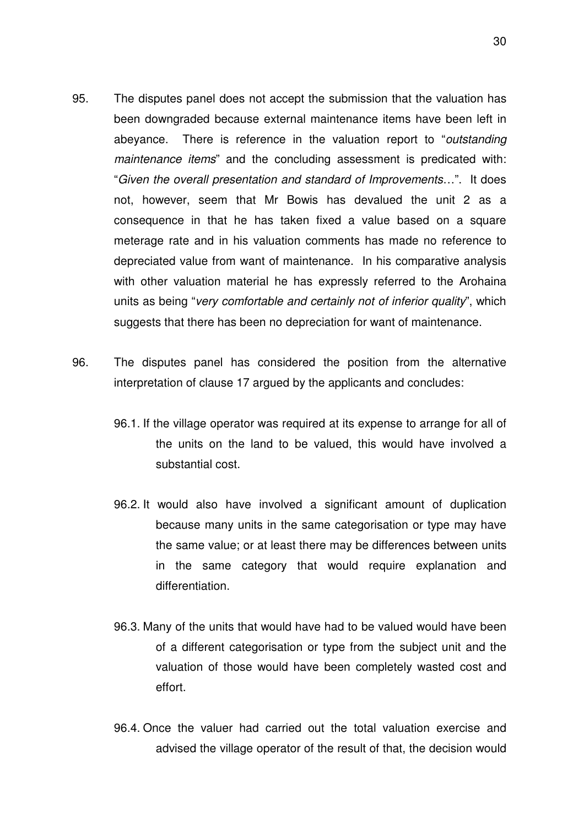- 95. The disputes panel does not accept the submission that the valuation has been downgraded because external maintenance items have been left in abeyance. There is reference in the valuation report to "outstanding maintenance items" and the concluding assessment is predicated with: "Given the overall presentation and standard of Improvements…". It does not, however, seem that Mr Bowis has devalued the unit 2 as a consequence in that he has taken fixed a value based on a square meterage rate and in his valuation comments has made no reference to depreciated value from want of maintenance. In his comparative analysis with other valuation material he has expressly referred to the Arohaina units as being "very comfortable and certainly not of inferior quality", which suggests that there has been no depreciation for want of maintenance.
- 96. The disputes panel has considered the position from the alternative interpretation of clause 17 argued by the applicants and concludes:
	- 96.1. If the village operator was required at its expense to arrange for all of the units on the land to be valued, this would have involved a substantial cost.
	- 96.2. It would also have involved a significant amount of duplication because many units in the same categorisation or type may have the same value; or at least there may be differences between units in the same category that would require explanation and differentiation.
	- 96.3. Many of the units that would have had to be valued would have been of a different categorisation or type from the subject unit and the valuation of those would have been completely wasted cost and effort.
	- 96.4. Once the valuer had carried out the total valuation exercise and advised the village operator of the result of that, the decision would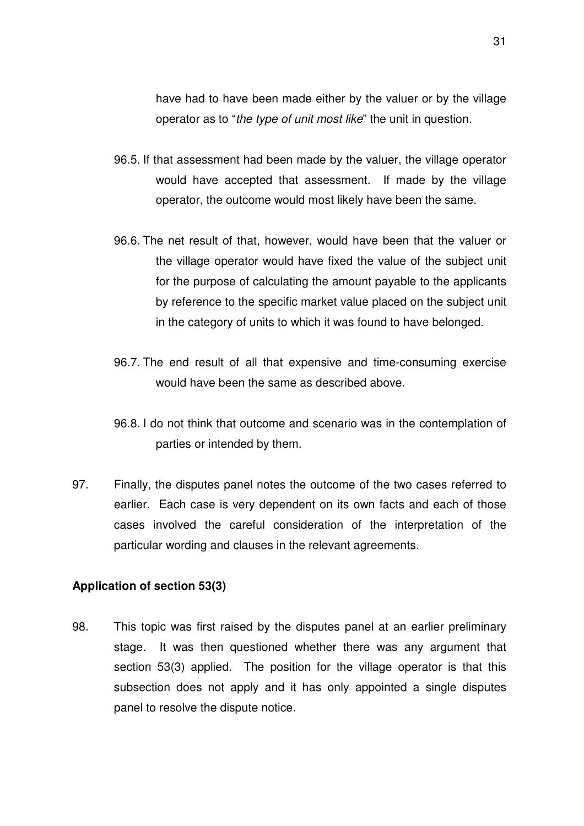have had to have been made either by the valuer or by the village operator as to "the type of unit most like" the unit in question.

- 96.5. If that assessment had been made by the valuer, the village operator would have accepted that assessment. If made by the village operator, the outcome would most likely have been the same.
- 96.6. The net result of that, however, would have been that the valuer or the village operator would have fixed the value of the subject unit for the purpose of calculating the amount payable to the applicants by reference to the specific market value placed on the subject unit in the category of units to which it was found to have belonged.
- 96.7. The end result of all that expensive and time-consuming exercise would have been the same as described above.
- 96.8. I do not think that outcome and scenario was in the contemplation of parties or intended by them.
- 97. Finally, the disputes panel notes the outcome of the two cases referred to earlier. Each case is very dependent on its own facts and each of those cases involved the careful consideration of the interpretation of the particular wording and clauses in the relevant agreements.

### **Application of section 53(3)**

98. This topic was first raised by the disputes panel at an earlier preliminary stage. It was then questioned whether there was any argument that section 53(3) applied. The position for the village operator is that this subsection does not apply and it has only appointed a single disputes panel to resolve the dispute notice.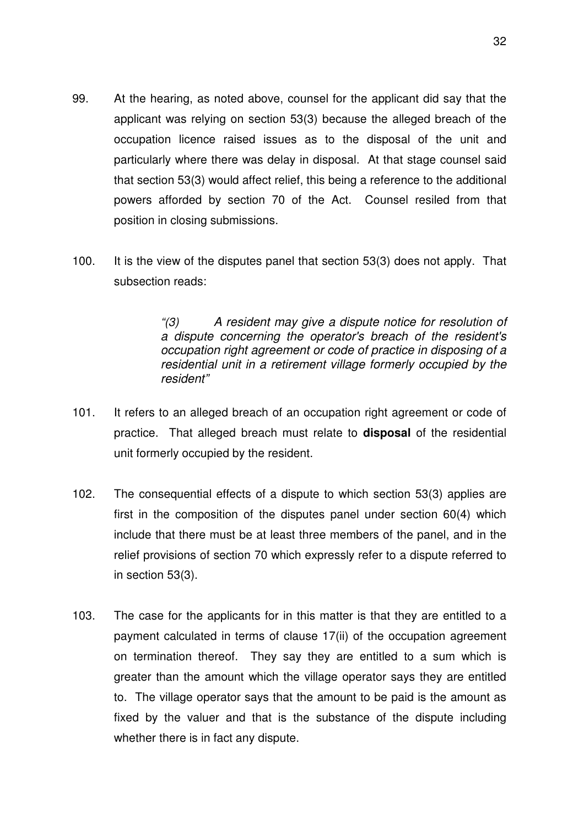- 99. At the hearing, as noted above, counsel for the applicant did say that the applicant was relying on section 53(3) because the alleged breach of the occupation licence raised issues as to the disposal of the unit and particularly where there was delay in disposal. At that stage counsel said that section 53(3) would affect relief, this being a reference to the additional powers afforded by section 70 of the Act. Counsel resiled from that position in closing submissions.
- 100. It is the view of the disputes panel that section 53(3) does not apply. That subsection reads:

"(3) A resident may give a dispute notice for resolution of a dispute concerning the operator's breach of the resident's occupation right agreement or code of practice in disposing of a residential unit in a retirement village formerly occupied by the resident"

- 101. It refers to an alleged breach of an occupation right agreement or code of practice. That alleged breach must relate to **disposal** of the residential unit formerly occupied by the resident.
- 102. The consequential effects of a dispute to which section 53(3) applies are first in the composition of the disputes panel under section 60(4) which include that there must be at least three members of the panel, and in the relief provisions of section 70 which expressly refer to a dispute referred to in section 53(3).
- 103. The case for the applicants for in this matter is that they are entitled to a payment calculated in terms of clause 17(ii) of the occupation agreement on termination thereof. They say they are entitled to a sum which is greater than the amount which the village operator says they are entitled to. The village operator says that the amount to be paid is the amount as fixed by the valuer and that is the substance of the dispute including whether there is in fact any dispute.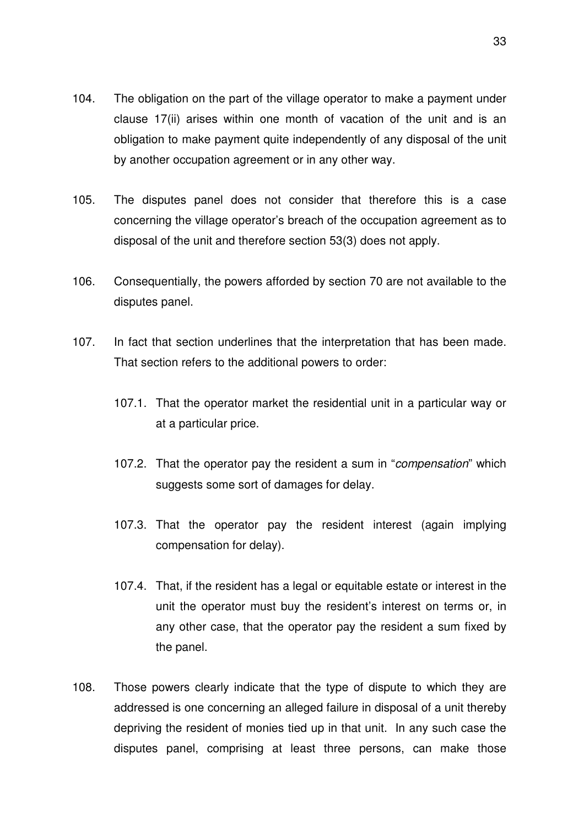- 104. The obligation on the part of the village operator to make a payment under clause 17(ii) arises within one month of vacation of the unit and is an obligation to make payment quite independently of any disposal of the unit by another occupation agreement or in any other way.
- 105. The disputes panel does not consider that therefore this is a case concerning the village operator's breach of the occupation agreement as to disposal of the unit and therefore section 53(3) does not apply.
- 106. Consequentially, the powers afforded by section 70 are not available to the disputes panel.
- 107. In fact that section underlines that the interpretation that has been made. That section refers to the additional powers to order:
	- 107.1. That the operator market the residential unit in a particular way or at a particular price.
	- 107.2. That the operator pay the resident a sum in "compensation" which suggests some sort of damages for delay.
	- 107.3. That the operator pay the resident interest (again implying compensation for delay).
	- 107.4. That, if the resident has a legal or equitable estate or interest in the unit the operator must buy the resident's interest on terms or, in any other case, that the operator pay the resident a sum fixed by the panel.
- 108. Those powers clearly indicate that the type of dispute to which they are addressed is one concerning an alleged failure in disposal of a unit thereby depriving the resident of monies tied up in that unit. In any such case the disputes panel, comprising at least three persons, can make those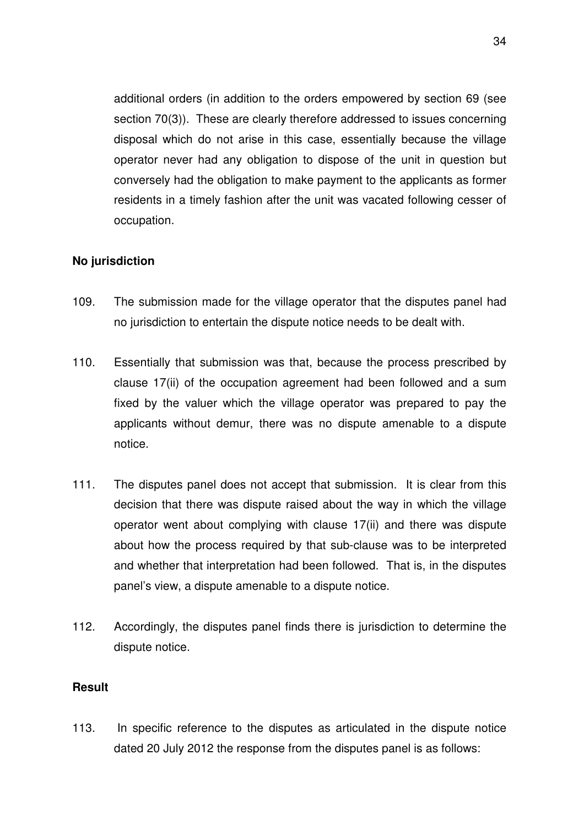additional orders (in addition to the orders empowered by section 69 (see section 70(3)). These are clearly therefore addressed to issues concerning disposal which do not arise in this case, essentially because the village operator never had any obligation to dispose of the unit in question but conversely had the obligation to make payment to the applicants as former residents in a timely fashion after the unit was vacated following cesser of occupation.

# **No jurisdiction**

- 109. The submission made for the village operator that the disputes panel had no jurisdiction to entertain the dispute notice needs to be dealt with.
- 110. Essentially that submission was that, because the process prescribed by clause 17(ii) of the occupation agreement had been followed and a sum fixed by the valuer which the village operator was prepared to pay the applicants without demur, there was no dispute amenable to a dispute notice.
- 111. The disputes panel does not accept that submission. It is clear from this decision that there was dispute raised about the way in which the village operator went about complying with clause 17(ii) and there was dispute about how the process required by that sub-clause was to be interpreted and whether that interpretation had been followed. That is, in the disputes panel's view, a dispute amenable to a dispute notice.
- 112. Accordingly, the disputes panel finds there is jurisdiction to determine the dispute notice.

## **Result**

113. In specific reference to the disputes as articulated in the dispute notice dated 20 July 2012 the response from the disputes panel is as follows: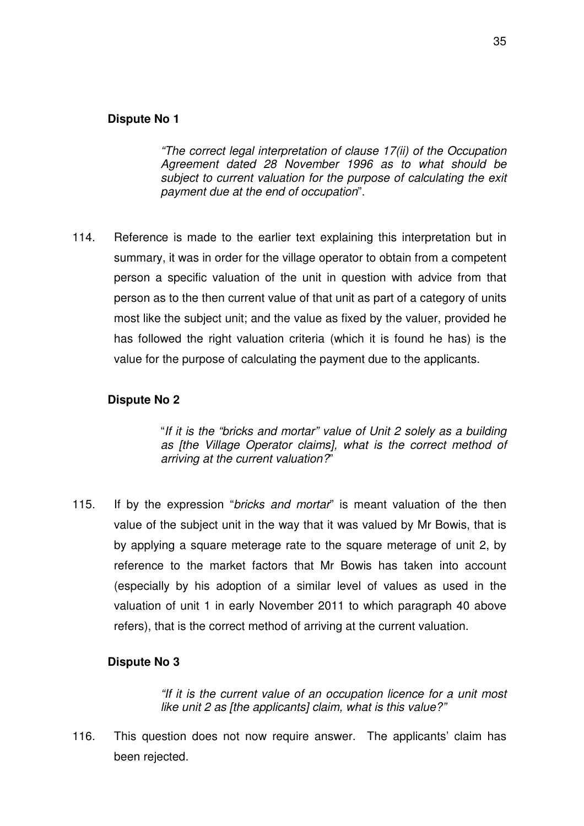## **Dispute No 1**

"The correct legal interpretation of clause 17(ii) of the Occupation Agreement dated 28 November 1996 as to what should be subject to current valuation for the purpose of calculating the exit payment due at the end of occupation".

114. Reference is made to the earlier text explaining this interpretation but in summary, it was in order for the village operator to obtain from a competent person a specific valuation of the unit in question with advice from that person as to the then current value of that unit as part of a category of units most like the subject unit; and the value as fixed by the valuer, provided he has followed the right valuation criteria (which it is found he has) is the value for the purpose of calculating the payment due to the applicants.

### **Dispute No 2**

"If it is the "bricks and mortar" value of Unit 2 solely as a building as [the Village Operator claims], what is the correct method of arriving at the current valuation?"

115. If by the expression "bricks and mortar" is meant valuation of the then value of the subject unit in the way that it was valued by Mr Bowis, that is by applying a square meterage rate to the square meterage of unit 2, by reference to the market factors that Mr Bowis has taken into account (especially by his adoption of a similar level of values as used in the valuation of unit 1 in early November 2011 to which paragraph 40 above refers), that is the correct method of arriving at the current valuation.

#### **Dispute No 3**

"If it is the current value of an occupation licence for a unit most like unit 2 as [the applicants] claim, what is this value?"

116. This question does not now require answer. The applicants' claim has been rejected.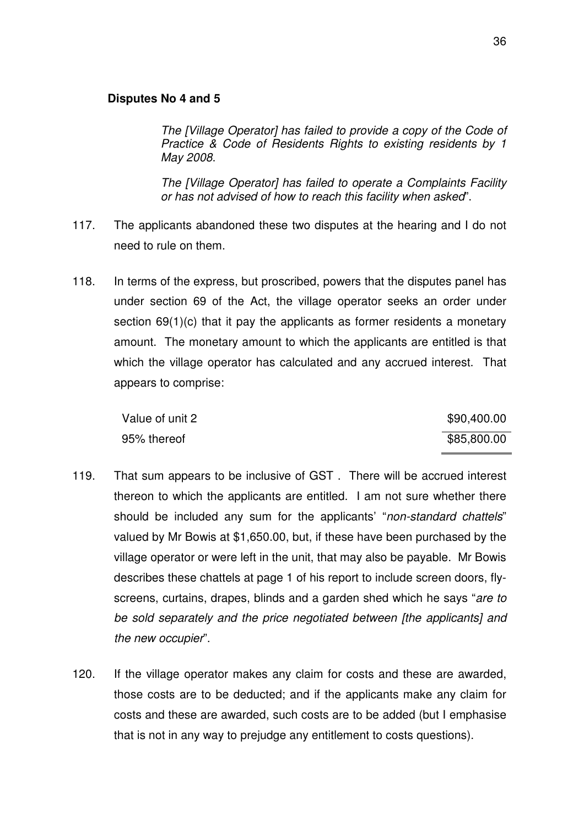#### **Disputes No 4 and 5**

The [Village Operator] has failed to provide a copy of the Code of Practice & Code of Residents Rights to existing residents by 1 May 2008.

The [Village Operator] has failed to operate a Complaints Facility or has not advised of how to reach this facility when asked".

- 117. The applicants abandoned these two disputes at the hearing and I do not need to rule on them.
- 118. In terms of the express, but proscribed, powers that the disputes panel has under section 69 of the Act, the village operator seeks an order under section 69(1)(c) that it pay the applicants as former residents a monetary amount. The monetary amount to which the applicants are entitled is that which the village operator has calculated and any accrued interest. That appears to comprise:

| Value of unit 2 | \$90,400.00 |
|-----------------|-------------|
| 95% thereof     | \$85,800.00 |

- 119. That sum appears to be inclusive of GST . There will be accrued interest thereon to which the applicants are entitled. I am not sure whether there should be included any sum for the applicants' "non-standard chattels" valued by Mr Bowis at \$1,650.00, but, if these have been purchased by the village operator or were left in the unit, that may also be payable. Mr Bowis describes these chattels at page 1 of his report to include screen doors, flyscreens, curtains, drapes, blinds and a garden shed which he says "are to be sold separately and the price negotiated between [the applicants] and the new occupier".
- 120. If the village operator makes any claim for costs and these are awarded, those costs are to be deducted; and if the applicants make any claim for costs and these are awarded, such costs are to be added (but I emphasise that is not in any way to prejudge any entitlement to costs questions).